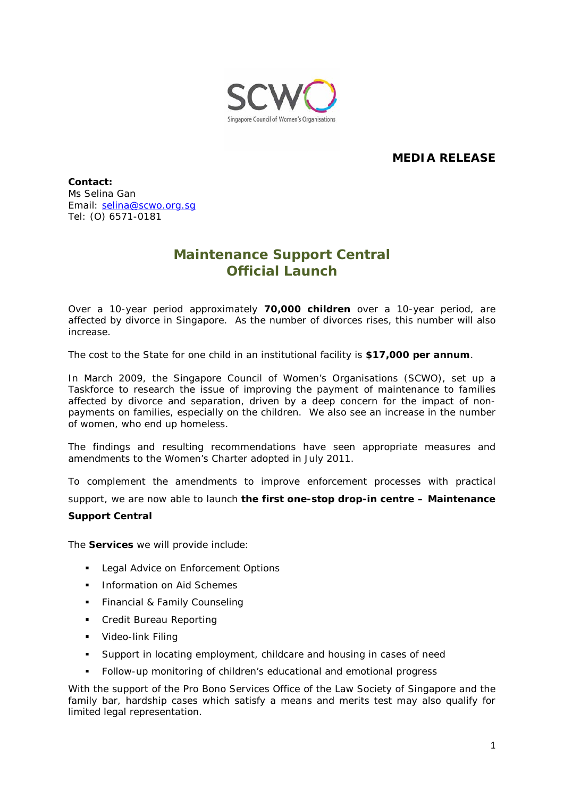

# **MEDIA RELEASE**

**Contact:**  Ms Selina Gan Email: [selina@scwo.org.sg](mailto:selina@scwo.org.sg) Tel: (O) 6571-0181

# **Maintenance Support Central Official Launch**

Over a 10-year period approximately **70,000 children** over a 10-year period, are affected by divorce in Singapore. As the number of divorces rises, this number will also increase.

The cost to the State for one child in an institutional facility is **\$17,000 per annum**.

In March 2009, the Singapore Council of Women's Organisations (SCWO), set up a Taskforce to research the issue of improving the payment of maintenance to families affected by divorce and separation, driven by a deep concern for the impact of nonpayments on families, especially on the children. We also see an increase in the number of women, who end up homeless.

The findings and resulting recommendations have seen appropriate measures and amendments to the Women's Charter adopted in July 2011.

To complement the amendments to improve enforcement processes with practical

support, we are now able to launch **the first one-stop drop-in centre – Maintenance** 

#### **Support Central**

The **Services** we will provide include:

- **Legal Advice on Enforcement Options**
- **Information on Aid Schemes**
- **Financial & Family Counseling**
- Credit Bureau Reporting
- **•** Video-link Filing
- Support in locating employment, childcare and housing in cases of need
- Follow-up monitoring of children's educational and emotional progress

With the support of the Pro Bono Services Office of the Law Society of Singapore and the family bar, hardship cases which satisfy a means and merits test may also qualify for limited legal representation.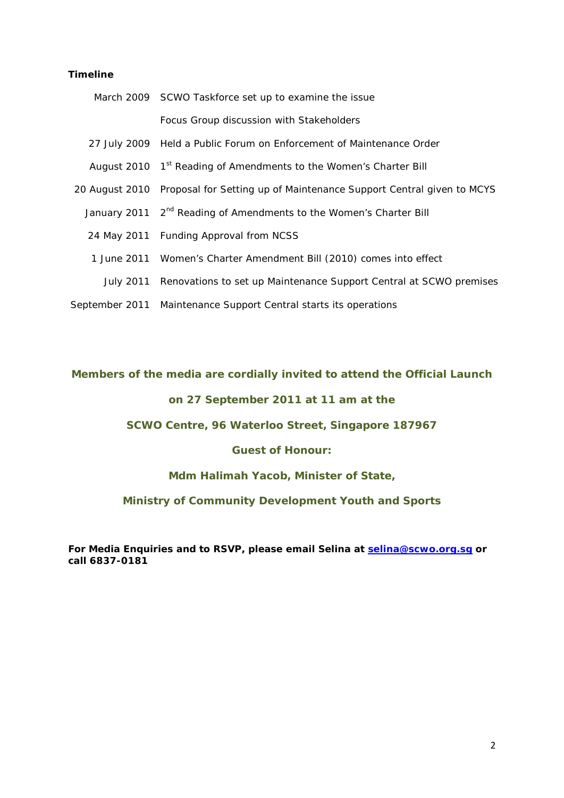## **Timeline**

| March 2009 SCWO Taskforce set up to examine the issue                               |
|-------------------------------------------------------------------------------------|
| Focus Group discussion with Stakeholders                                            |
| 27 July 2009 Held a Public Forum on Enforcement of Maintenance Order                |
| August 2010 1st Reading of Amendments to the Women's Charter Bill                   |
| 20 August 2010 Proposal for Setting up of Maintenance Support Central given to MCYS |
| January 2011 2 <sup>nd</sup> Reading of Amendments to the Women's Charter Bill      |
| 24 May 2011 Funding Approval from NCSS                                              |
| 1 June 2011 Women's Charter Amendment Bill (2010) comes into effect                 |
| July 2011 Renovations to set up Maintenance Support Central at SCWO premises        |
| September 2011 Maintenance Support Central starts its operations                    |

## **Members of the media are cordially invited to attend the Official Launch**

## **on 27 September 2011 at 11 am at the**

## **SCWO Centre, 96 Waterloo Street, Singapore 187967**

#### **Guest of Honour:**

### **Mdm Halimah Yacob, Minister of State,**

## **Ministry of Community Development Youth and Sports**

**For Media Enquiries and to RSVP, please email Selina at [selina@scwo.org.sg](mailto:selina@scwo.org.sg) or call 6837-0181**